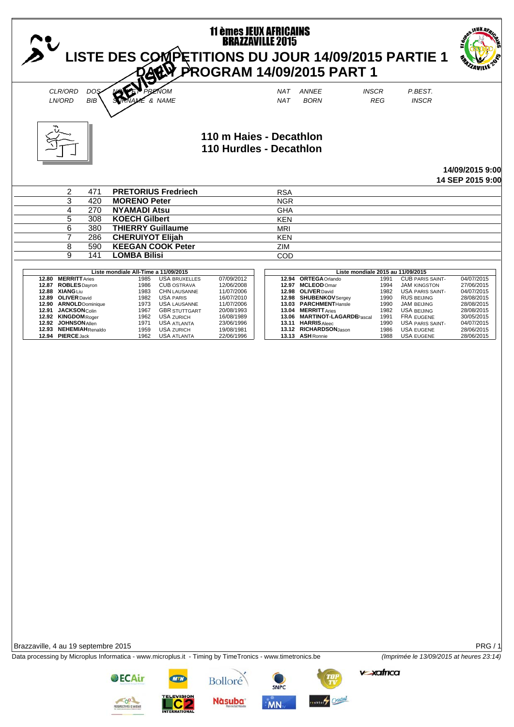|                                                                                                                                                                                                                                | LISTE DES COMPETITIONS DU JOUR 14/09/2015 PARTIE 1                                                                                                                                                                                                                                                                                                 | <b>11 èmes JEUX AFRICAINS<br/>BRAZZAVILLE 2015</b><br>PROGRAM 14/09/2015 PART 1                                                          |                          |                                                                                                                                                                                                                                              |                                                                                                                   |                                                                                                                                                                                                                                | <b>\EUX Az</b>                                                                                                                           |
|--------------------------------------------------------------------------------------------------------------------------------------------------------------------------------------------------------------------------------|----------------------------------------------------------------------------------------------------------------------------------------------------------------------------------------------------------------------------------------------------------------------------------------------------------------------------------------------------|------------------------------------------------------------------------------------------------------------------------------------------|--------------------------|----------------------------------------------------------------------------------------------------------------------------------------------------------------------------------------------------------------------------------------------|-------------------------------------------------------------------------------------------------------------------|--------------------------------------------------------------------------------------------------------------------------------------------------------------------------------------------------------------------------------|------------------------------------------------------------------------------------------------------------------------------------------|
| CLR/ORD<br><b>DOS</b><br>LN/ORD<br><b>BIB</b>                                                                                                                                                                                  | PRENOM<br>& NAME                                                                                                                                                                                                                                                                                                                                   |                                                                                                                                          | NAT<br><b>NAT</b>        | <b>ANNEE</b><br><b>BORN</b>                                                                                                                                                                                                                  | <b>INSCR</b><br><b>REG</b>                                                                                        | P.BEST.<br><b>INSCR</b>                                                                                                                                                                                                        |                                                                                                                                          |
|                                                                                                                                                                                                                                |                                                                                                                                                                                                                                                                                                                                                    |                                                                                                                                          |                          |                                                                                                                                                                                                                                              |                                                                                                                   |                                                                                                                                                                                                                                |                                                                                                                                          |
|                                                                                                                                                                                                                                |                                                                                                                                                                                                                                                                                                                                                    | 110 m Haies - Decathlon<br>110 Hurdles - Decathlon                                                                                       |                          |                                                                                                                                                                                                                                              |                                                                                                                   |                                                                                                                                                                                                                                | 14/09/2015 9:00                                                                                                                          |
|                                                                                                                                                                                                                                |                                                                                                                                                                                                                                                                                                                                                    |                                                                                                                                          |                          |                                                                                                                                                                                                                                              |                                                                                                                   |                                                                                                                                                                                                                                | 14 SEP 2015 9:00                                                                                                                         |
| 2<br>471<br>3<br>420                                                                                                                                                                                                           | <b>PRETORIUS Fredriech</b><br><b>MORENO Peter</b>                                                                                                                                                                                                                                                                                                  |                                                                                                                                          | <b>RSA</b><br><b>NGR</b> |                                                                                                                                                                                                                                              |                                                                                                                   |                                                                                                                                                                                                                                |                                                                                                                                          |
| 4<br>270                                                                                                                                                                                                                       | <b>NYAMADI Atsu</b>                                                                                                                                                                                                                                                                                                                                |                                                                                                                                          | <b>GHA</b>               |                                                                                                                                                                                                                                              |                                                                                                                   |                                                                                                                                                                                                                                |                                                                                                                                          |
| 5<br>308                                                                                                                                                                                                                       | <b>KOECH Gilbert</b>                                                                                                                                                                                                                                                                                                                               |                                                                                                                                          | <b>KEN</b>               |                                                                                                                                                                                                                                              |                                                                                                                   |                                                                                                                                                                                                                                |                                                                                                                                          |
| 6<br>380<br>7<br>286                                                                                                                                                                                                           | <b>THIERRY Guillaume</b><br><b>CHERUIYOT Elijah</b>                                                                                                                                                                                                                                                                                                |                                                                                                                                          | <b>MRI</b><br><b>KEN</b> |                                                                                                                                                                                                                                              |                                                                                                                   |                                                                                                                                                                                                                                |                                                                                                                                          |
| 590<br>8                                                                                                                                                                                                                       | <b>KEEGAN COOK Peter</b>                                                                                                                                                                                                                                                                                                                           |                                                                                                                                          | ZIM                      |                                                                                                                                                                                                                                              |                                                                                                                   |                                                                                                                                                                                                                                |                                                                                                                                          |
| 9<br>141                                                                                                                                                                                                                       | <b>LOMBA Bilisi</b>                                                                                                                                                                                                                                                                                                                                |                                                                                                                                          | COD                      |                                                                                                                                                                                                                                              |                                                                                                                   |                                                                                                                                                                                                                                |                                                                                                                                          |
| 12.80 MERRITT Aries<br>12.87 ROBLES Dayron<br>12.88 XIANG Liu<br>12.89 OLIVER David<br>12.90 ARNOLDDominique<br>12.91 JACKSONColin<br>12.92 KINGDOM Roger<br>12.92 JOHNSON Allen<br>12.93 NEHEMIAHRenaldo<br>12.94 PIERCE Jack | Liste mondiale All-Time a 11/09/2015<br><b>USA BRUXELLES</b><br>1985<br>1986<br><b>CUB OSTRAVA</b><br>1983<br><b>CHN LAUSANNE</b><br>1982<br><b>USA PARIS</b><br>1973<br><b>USA LAUSANNE</b><br>1967<br><b>GBR STUTTGART</b><br>1962<br><b>USA ZURICH</b><br><b>USA ATLANTA</b><br>1971<br><b>USA ZURICH</b><br>1959<br>1962<br><b>USA ATLANTA</b> | 07/09/2012<br>12/06/2008<br>11/07/2006<br>16/07/2010<br>11/07/2006<br>20/08/1993<br>16/08/1989<br>23/06/1996<br>19/08/1981<br>22/06/1996 |                          | 12.94 ORTEGA Orlando<br>12.97 MCLEOD Omar<br>12.98 OLIVER David<br>12.98 SHUBENKOV Sergey<br>13.03 PARCHMENTHansle<br>13.04 MERRITT Aries<br>13.06 MARTINOT-LAGARDEPascal<br>13.11 HARRIS Aleec<br>13.12 RICHARDSONJason<br>13.13 ASH Ronnie | Liste mondiale 2015 au 11/09/2015<br>1991<br>1994<br>1982<br>1990<br>1990<br>1982<br>1991<br>1990<br>1986<br>1988 | <b>CUB PARIS SAINT-</b><br><b>JAM KINGSTON</b><br><b>USA PARIS SAINT-</b><br><b>RUS BEIJING</b><br><b>JAM BEIJING</b><br><b>USA BEIJING</b><br>FRA EUGENE<br><b>USA PARIS SAINT-</b><br><b>USA EUGENE</b><br><b>USA EUGENE</b> | 04/07/2015<br>27/06/2015<br>04/07/2015<br>28/08/2015<br>28/08/2015<br>28/08/2015<br>30/05/2015<br>04/07/2015<br>28/06/2015<br>28/06/2015 |
| Brazzaville, 4 au 19 septembre 2015                                                                                                                                                                                            |                                                                                                                                                                                                                                                                                                                                                    |                                                                                                                                          |                          |                                                                                                                                                                                                                                              |                                                                                                                   |                                                                                                                                                                                                                                | <b>PRG/1</b>                                                                                                                             |
| Data processing by Microplus Informatica - www.microplus.it - Timing by TimeTronics - www.timetronics.be                                                                                                                       |                                                                                                                                                                                                                                                                                                                                                    |                                                                                                                                          |                          |                                                                                                                                                                                                                                              |                                                                                                                   | (Imprimée le 13/09/2015 at heures 23:14)                                                                                                                                                                                       |                                                                                                                                          |
|                                                                                                                                                                                                                                | <b>OECAir</b>                                                                                                                                                                                                                                                                                                                                      | <b>Bolloré</b>                                                                                                                           | <b>SNPC</b>              | W                                                                                                                                                                                                                                            | <b>v-xafrica</b>                                                                                                  |                                                                                                                                                                                                                                |                                                                                                                                          |

**CONTENTS** 

TELEVISION

Nàsuba<sup>®</sup>

 $MN<sub>n</sub>$ 

seaktory Cristal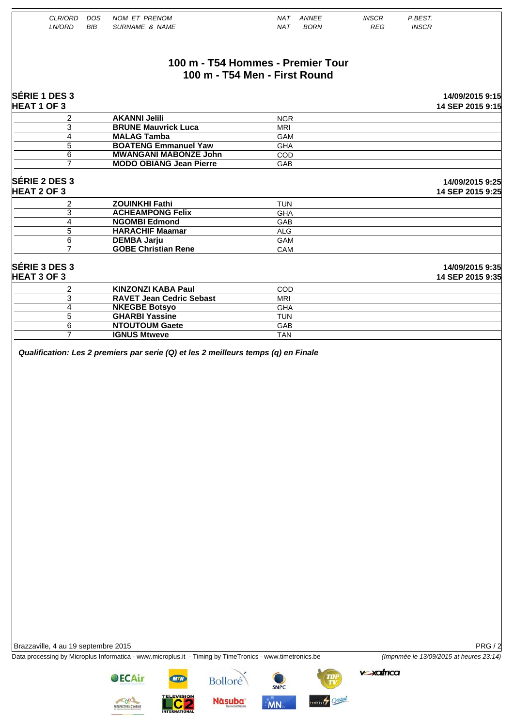|                            | NAT ANNEE                                                                                                                                                                                                                                 | <b>INSCR</b>                                                            | P.BEST.                             |
|----------------------------|-------------------------------------------------------------------------------------------------------------------------------------------------------------------------------------------------------------------------------------------|-------------------------------------------------------------------------|-------------------------------------|
| <b>SURNAME &amp; NAME</b>  | <b>NAT</b><br><b>BORN</b>                                                                                                                                                                                                                 | <b>REG</b>                                                              | <b>INSCR</b>                        |
|                            |                                                                                                                                                                                                                                           |                                                                         |                                     |
|                            |                                                                                                                                                                                                                                           |                                                                         |                                     |
|                            |                                                                                                                                                                                                                                           |                                                                         | 14/09/2015 9:15                     |
|                            |                                                                                                                                                                                                                                           |                                                                         | 14 SEP 2015 9:15                    |
| <b>AKANNI Jelili</b>       | <b>NGR</b>                                                                                                                                                                                                                                |                                                                         |                                     |
| <b>BRUNE Mauvrick Luca</b> | <b>MRI</b>                                                                                                                                                                                                                                |                                                                         |                                     |
| <b>MALAG Tamba</b>         | <b>GAM</b>                                                                                                                                                                                                                                |                                                                         |                                     |
|                            | <b>GHA</b>                                                                                                                                                                                                                                |                                                                         |                                     |
|                            |                                                                                                                                                                                                                                           |                                                                         |                                     |
|                            | <b>GAB</b>                                                                                                                                                                                                                                |                                                                         |                                     |
|                            |                                                                                                                                                                                                                                           |                                                                         | 14/09/2015 9:25<br>14 SEP 2015 9:25 |
| <b>ZOUINKHI Fathi</b>      | <b>TUN</b>                                                                                                                                                                                                                                |                                                                         |                                     |
| <b>ACHEAMPONG Felix</b>    |                                                                                                                                                                                                                                           |                                                                         |                                     |
| <b>NGOMBI Edmond</b>       | GAB                                                                                                                                                                                                                                       |                                                                         |                                     |
| <b>HARACHIF Maamar</b>     | <b>ALG</b>                                                                                                                                                                                                                                |                                                                         |                                     |
|                            | GAM                                                                                                                                                                                                                                       |                                                                         |                                     |
|                            | CAM                                                                                                                                                                                                                                       |                                                                         |                                     |
|                            |                                                                                                                                                                                                                                           |                                                                         | 14/09/2015 9:35<br>14 SEP 2015 9:35 |
|                            |                                                                                                                                                                                                                                           |                                                                         |                                     |
|                            | <b>MRI</b>                                                                                                                                                                                                                                |                                                                         |                                     |
|                            |                                                                                                                                                                                                                                           |                                                                         |                                     |
| <b>GHARBI Yassine</b>      | <b>TUN</b>                                                                                                                                                                                                                                |                                                                         |                                     |
| <b>NTOUTOUM Gaete</b>      | GAB                                                                                                                                                                                                                                       |                                                                         |                                     |
| <b>IGNUS Mtweve</b>        | <b>TAN</b>                                                                                                                                                                                                                                |                                                                         |                                     |
|                            | <b>BOATENG Emmanuel Yaw</b><br><b>MWANGANI MABONZE John</b><br><b>MODO OBIANG Jean Pierre</b><br><b>DEMBA Jarju</b><br><b>GOBE Christian Rene</b><br><b>KINZONZI KABA Paul</b><br><b>RAVET Jean Cedric Sebast</b><br><b>NKEGBE Botsyo</b> | 100 m - T54 Men - First Round<br>COD<br><b>GHA</b><br>COD<br><b>GHA</b> | 100 m - T54 Hommes - Premier Tour   |

Data processing by Microplus Informatica - www.microplus.it - Timing by TimeTronics - www.timetronics.be *(Imprimée le 13/09/2015 at heures 23:14)*

 $v$ -xafrica

SPECTIVES D'AVENIR

**OECAir** 

LC<sub>2</sub>









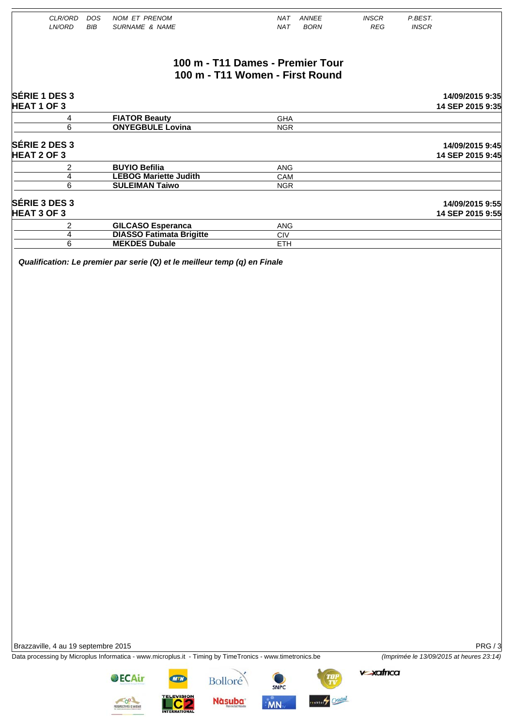| CLR/ORD            | <b>DOS</b> | <b>NOM ET PRENOM</b>            | <b>NAT</b><br><b>ANNEE</b>       | <b>INSCR</b> | P.BEST.          |
|--------------------|------------|---------------------------------|----------------------------------|--------------|------------------|
| LN/ORD             | <b>BIB</b> | <b>SURNAME &amp; NAME</b>       | <b>BORN</b><br><b>NAT</b>        | <b>REG</b>   | <b>INSCR</b>     |
|                    |            |                                 |                                  |              |                  |
|                    |            |                                 |                                  |              |                  |
|                    |            |                                 | 100 m - T11 Dames - Premier Tour |              |                  |
|                    |            |                                 | 100 m - T11 Women - First Round  |              |                  |
| SÉRIE 1 DES 3      |            |                                 |                                  |              | 14/09/2015 9:35  |
| <b>HEAT 1 OF 3</b> |            |                                 |                                  |              | 14 SEP 2015 9:35 |
| 4                  |            | <b>FIATOR Beauty</b>            | <b>GHA</b>                       |              |                  |
| 6                  |            | <b>ONYEGBULE Lovina</b>         | <b>NGR</b>                       |              |                  |
| SÉRIE 2 DES 3      |            |                                 |                                  |              | 14/09/2015 9:45  |
| <b>HEAT 2 OF 3</b> |            |                                 |                                  |              | 14 SEP 2015 9:45 |
| 2                  |            | <b>BUYIO Befilia</b>            | <b>ANG</b>                       |              |                  |
| 4                  |            | <b>LEBOG Mariette Judith</b>    | CAM                              |              |                  |
| 6                  |            | <b>SULEIMAN Taiwo</b>           | <b>NGR</b>                       |              |                  |
| SÉRIE 3 DES 3      |            |                                 |                                  |              | 14/09/2015 9:55  |
| <b>HEAT 3 OF 3</b> |            |                                 |                                  |              | 14 SEP 2015 9:55 |
| 2                  |            | <b>GILCASO Esperanca</b>        | <b>ANG</b>                       |              |                  |
| 4                  |            | <b>DIASSO Fatimata Brigitte</b> | <b>CIV</b>                       |              |                  |
| 6                  |            | <b>MEKDES Dubale</b>            | <b>ETH</b>                       |              |                  |

*Qualification: Le premier par serie (Q) et le meilleur temp (q) en Finale* 

Brazzaville, 4 au 19 septembre 2015 PRG / 3

Data processing by Microplus Informatica - www.microplus.it - Timing by TimeTronics - www.timetronics.be *(Imprimée le 13/09/2015 at heures 23:14)*



**OECAir** 

**Nàsuba** 

Bolloré

SNPC MN

estion Cristal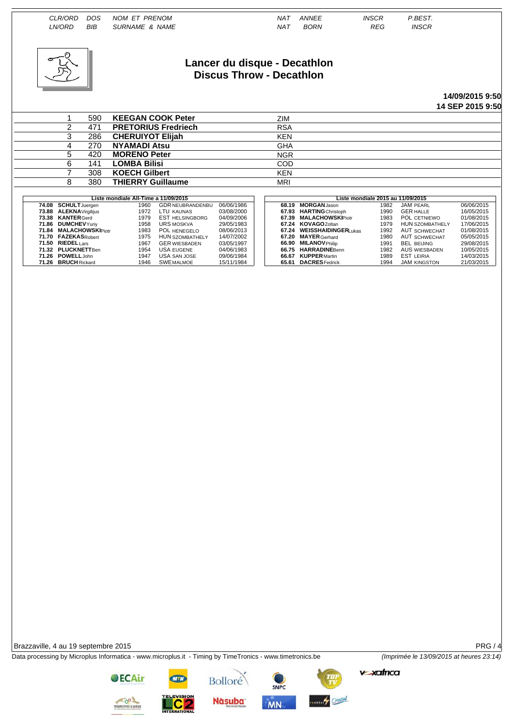*CLR/ORD DOS NOM ET PRENOM NAT ANNEE INSCR P.BEST. LN/ORD BIB SURNAME & NAME NAT BORN REG INSCR*  **Lancer du disque - Decathlon Discus Throw - Decathlon 14/09/2015 9:50 14 SEP 2015 9:50** 1 590 **KEEGAN COOK Peter** 2IM<br>2 471 **PRETORIUS Fredriech** RSA 2 471 **PRETORIUS Fredriech** RSA 3 286 **CHERUIYOT Elijah**<br>4 270 **NYAMADI Atsu** 4 270 **NYAMADI Atsu** GHA 5 420 MORENO Peter **NGR** 

Brazzaville, 4 au 19 septembre 2015 **PRG / 4** 

Data processing by Microplus Informatica - www.microplus.it - Timing by TimeTronics - www.timetronics.be *(Imprimée le 13/09/2015 at heures 23:14)*

| د                      | ∠öb | <b>UNERVITUT EIIJAN</b>              |                         |            | <b>KEN</b> |                    |                           |                                   |                        |            |
|------------------------|-----|--------------------------------------|-------------------------|------------|------------|--------------------|---------------------------|-----------------------------------|------------------------|------------|
| 4                      | 270 | <b>NYAMADI Atsu</b>                  |                         |            | <b>GHA</b> |                    |                           |                                   |                        |            |
| 5                      | 420 | <b>MORENO Peter</b>                  |                         |            | <b>NGR</b> |                    |                           |                                   |                        |            |
| 6                      | 141 | <b>LOMBA Bilisi</b>                  |                         |            | COD        |                    |                           |                                   |                        |            |
|                        | 308 | <b>KOECH Gilbert</b>                 |                         |            | <b>KEN</b> |                    |                           |                                   |                        |            |
|                        | 380 | <b>THIERRY Guillaume</b>             |                         |            | <b>MRI</b> |                    |                           |                                   |                        |            |
|                        |     |                                      |                         |            |            |                    |                           |                                   |                        |            |
|                        |     | Liste mondiale All-Time a 11/09/2015 |                         |            |            |                    |                           | Liste mondiale 2015 au 11/09/2015 |                        |            |
| 74.08 SCHULT Juergen   |     | 1960                                 | <b>GDR NEUBRANDENBU</b> | 06/06/1986 |            | 68.19 MORGANJason  |                           | 1982                              | JAM PEARL              | 06/06/2015 |
| 73.88 ALEKNAVirgilijus |     | 1972                                 | LTU KAUNAS              | 03/08/2000 |            |                    | 67.93 HARTING Christoph   | 1990                              | <b>GER HALLE</b>       | 16/05/2015 |
| 73.38 KANTER Gerd      |     | 1979                                 | <b>EST HELSINGBORG</b>  | 04/09/2006 |            |                    | 67.39 MALACHOWSKIPiotr    | 1983                              | POL CETNIEWO           | 01/08/2015 |
| 71.86 DUMCHEVYuriv     |     | 1958                                 | URS MOSKVA              | 29/05/1983 |            | 67.24 KOVAGOZoltan |                           | 1979                              | <b>HUN SZOMBATHELY</b> | 17/06/2015 |
| 71.84 MALACHOWSKIPiotr |     | 1983                                 | POL HENEGELO            | 08/06/2013 |            |                    | 67.24 WEISSHAIDINGERLukas | 1992                              | AUT SCHWECHAT          | 01/08/2015 |
|                        |     |                                      |                         |            |            |                    |                           |                                   |                        |            |

**71.84 MALACHOWSKI** Piotr 1983 POL HENEGELO 18/06/2013 **67.24 WEISSHAIDINGER** UNAS 1992 AUT SCHWECHAT 01/08/2015<br>**71.70 FAZEKAS**Robert 1975 HUN SZOMBATHELY 14/07/2002 **67.20 MAYER** Gerhard 1980 AUT SCHWECHAT 05/05/2015<br>**71 71.70 FAZEKAS** Robert 1975 HUN SZOMBATHELY 14/07/2002 **67.20 MAYER** Gerhard 1980 AUT SCHWECHAT 05/05/2015<br>**71.50 RIEDEL**Lars 1987 GER WIESBADEN 03/05/1997 66.90 MILANOVPhilip 1991 BEL BELING 29/08/2015 **71.50 RIEDEL** Lars 1967 GER WIESBADEN 03/05/1997 **66.90 MILANOV** Philip 1991 BEL BEIJING 29/08/2015 7**1.32 PLUCKNETT**Ben 1954 USA EUGENE 04/06/1983 | **66.75 HARRADINE**Benn 1982 AUS WIESBADEN 10/05/2015<br>**71.26 POWELL**John 1947 USA SAN JOSE 09/06/1984 | **66.67 KUPPER**Martin 1989 EST **71.26 BRUCH** Rickard 1946 SWEMALMOE 15/11/1984 **65.61 DACRES** Fedrick 1994 JAM KINGSTON 21/03/2015

> COL SPECTIVES D'AVENIR

**OECAir** 





**Bolloré** 



**MN**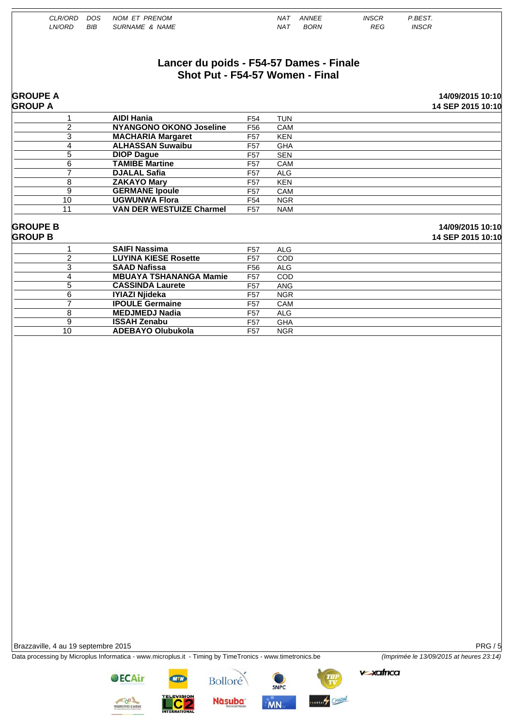| CLR/ORD         |                | <b>DOS</b> | <b>NOM ET PRENOM</b>                    |                 | <b>NAT</b> | <b>ANNEE</b> | <b>INSCR</b> | P.BEST.           |
|-----------------|----------------|------------|-----------------------------------------|-----------------|------------|--------------|--------------|-------------------|
| LN/ORD          |                | <b>BIB</b> | <b>SURNAME &amp; NAME</b>               |                 | <b>NAT</b> | <b>BORN</b>  | <b>REG</b>   | <b>INSCR</b>      |
|                 |                |            |                                         |                 |            |              |              |                   |
|                 |                |            |                                         |                 |            |              |              |                   |
|                 |                |            |                                         |                 |            |              |              |                   |
|                 |                |            | Lancer du poids - F54-57 Dames - Finale |                 |            |              |              |                   |
|                 |                |            | Shot Put - F54-57 Women - Final         |                 |            |              |              |                   |
|                 |                |            |                                         |                 |            |              |              |                   |
| <b>GROUPE A</b> |                |            |                                         |                 |            |              |              | 14/09/2015 10:10  |
| <b>GROUP A</b>  |                |            |                                         |                 |            |              |              | 14 SEP 2015 10:10 |
|                 | 1              |            | <b>AIDI Hania</b>                       | F <sub>54</sub> | <b>TUN</b> |              |              |                   |
|                 | $\overline{2}$ |            | <b>NYANGONO OKONO Joseline</b>          | F <sub>56</sub> | CAM        |              |              |                   |
|                 | 3              |            | <b>MACHARIA Margaret</b>                | F <sub>57</sub> | <b>KEN</b> |              |              |                   |
|                 | 4              |            | <b>ALHASSAN Suwaibu</b>                 | F <sub>57</sub> | <b>GHA</b> |              |              |                   |
|                 | 5              |            | <b>DIOP Dague</b>                       | F <sub>57</sub> | <b>SEN</b> |              |              |                   |
|                 | 6              |            | <b>TAMIBE Martine</b>                   | F <sub>57</sub> | CAM        |              |              |                   |
|                 | $\overline{7}$ |            | <b>DJALAL Safia</b>                     | F <sub>57</sub> | <b>ALG</b> |              |              |                   |
|                 | 8              |            | <b>ZAKAYO Mary</b>                      | F <sub>57</sub> | <b>KEN</b> |              |              |                   |
|                 | 9              |            | <b>GERMANE Ipoule</b>                   | F <sub>57</sub> | CAM        |              |              |                   |
|                 | 10             |            | <b>UGWUNWA Flora</b>                    | F <sub>54</sub> | <b>NGR</b> |              |              |                   |
|                 | 11             |            | <b>VAN DER WESTUIZE Charmel</b>         | F <sub>57</sub> | <b>NAM</b> |              |              |                   |
|                 |                |            |                                         |                 |            |              |              |                   |
| <b>GROUPE B</b> |                |            |                                         |                 |            |              |              | 14/09/2015 10:10  |
| <b>GROUP B</b>  |                |            |                                         |                 |            |              |              | 14 SEP 2015 10:10 |
|                 | 1              |            | <b>SAIFI Nassima</b>                    | F <sub>57</sub> | <b>ALG</b> |              |              |                   |
|                 | $\overline{c}$ |            | <b>LUYINA KIESE Rosette</b>             | F <sub>57</sub> | COD        |              |              |                   |
|                 | 3              |            | <b>SAAD Nafissa</b>                     | F <sub>56</sub> | <b>ALG</b> |              |              |                   |
|                 | 4              |            | <b>MBUAYA TSHANANGA Mamie</b>           | F <sub>57</sub> | COD        |              |              |                   |
|                 | 5              |            | <b>CASSINDA Laurete</b>                 | F <sub>57</sub> | <b>ANG</b> |              |              |                   |
|                 | 6              |            | <b>IYIAZI Njideka</b>                   | F <sub>57</sub> | <b>NGR</b> |              |              |                   |
|                 | $\overline{7}$ |            | <b>IPOULE Germaine</b>                  | F <sub>57</sub> | CAM        |              |              |                   |

Data processing by Microplus Informatica - www.microplus.it - Timing by TimeTronics - www.timetronics.be *(Imprimée le 13/09/2015 at heures 23:14)*

8 **MEDJMEDJ Nadia** F57 ALG 9 **ISSAH Zenabu** F57 GHA<br>10 **ADEBAYO Olubukola** F57 NGR

10 **ADEBAYO Olubukola** F57 NGR







vexatrica

**OECAir** 

**FECTIVES D'AVENIT** 

<u>. C 2</u>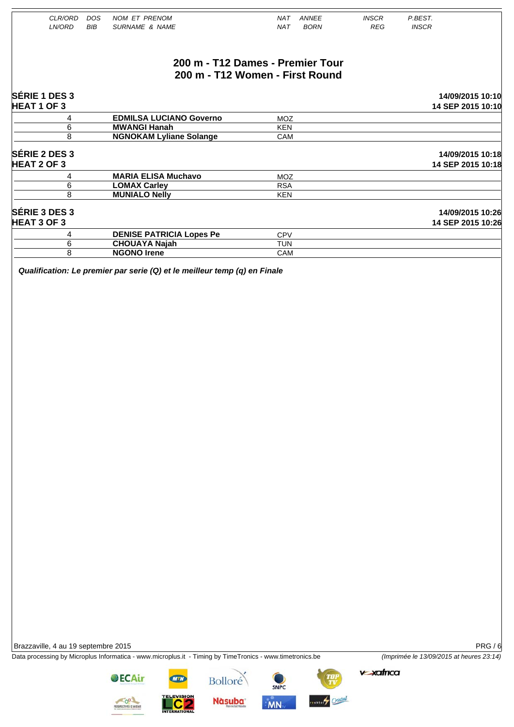| CLR/ORD              | <b>DOS</b> | <b>NOM ET PRENOM</b>            | <b>NAT</b><br><b>ANNEE</b>       | <b>INSCR</b> | P.BEST.           |
|----------------------|------------|---------------------------------|----------------------------------|--------------|-------------------|
| LN/ORD               | <b>BIB</b> | <b>SURNAME &amp; NAME</b>       | <b>BORN</b><br><b>NAT</b>        | <b>REG</b>   | <b>INSCR</b>      |
|                      |            |                                 |                                  |              |                   |
|                      |            |                                 | 200 m - T12 Dames - Premier Tour |              |                   |
|                      |            |                                 | 200 m - T12 Women - First Round  |              |                   |
| SÉRIE 1 DES 3        |            |                                 |                                  |              | 14/09/2015 10:10  |
| <b>HEAT 1 OF 3</b>   |            |                                 |                                  |              | 14 SEP 2015 10:10 |
| 4                    |            | <b>EDMILSA LUCIANO Governo</b>  | <b>MOZ</b>                       |              |                   |
| $\overline{6}$       |            | <b>MWANGI Hanah</b>             | <b>KEN</b>                       |              |                   |
| 8                    |            | <b>NGNOKAM Lyliane Solange</b>  | CAM                              |              |                   |
| SÉRIE 2 DES 3        |            |                                 |                                  |              | 14/09/2015 10:18  |
| <b>HEAT 2 OF 3</b>   |            |                                 |                                  |              | 14 SEP 2015 10:18 |
| 4                    |            | <b>MARIA ELISA Muchavo</b>      | <b>MOZ</b>                       |              |                   |
| 6                    |            | <b>LOMAX Carley</b>             | <b>RSA</b>                       |              |                   |
| 8                    |            | <b>MUNIALO Nelly</b>            | <b>KEN</b>                       |              |                   |
| <b>SÉRIE 3 DES 3</b> |            |                                 |                                  |              | 14/09/2015 10:26  |
| <b>HEAT 3 OF 3</b>   |            |                                 |                                  |              | 14 SEP 2015 10:26 |
| 4                    |            | <b>DENISE PATRICIA Lopes Pe</b> | CPV                              |              |                   |
| 6                    |            | <b>CHOUAYA Najah</b>            | <b>TUN</b>                       |              |                   |
| 8                    |            | <b>NGONO Irene</b>              | <b>CAM</b>                       |              |                   |

*Qualification: Le premier par serie (Q) et le meilleur temp (q) en Finale* 

Data processing by Microplus Informatica - www.microplus.it - Timing by TimeTronics - www.timetronics.be *(Imprimée le 13/09/2015 at heures 23:14)*

vexatrica

**OECAir** 





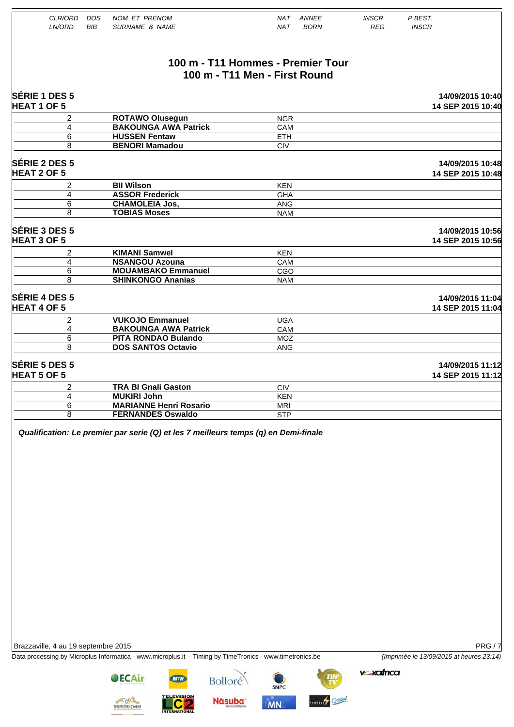| CLR/ORD<br>LN/ORD<br><b>BIB</b>            | <b>NOM ET PRENOM</b><br><b>DOS</b><br><b>SURNAME &amp; NAME</b> | <b>ANNEE</b><br>NAT<br><b>BORN</b><br><b>NAT</b> | <b>INSCR</b><br><b>REG</b> | P.BEST.<br><b>INSCR</b>               |
|--------------------------------------------|-----------------------------------------------------------------|--------------------------------------------------|----------------------------|---------------------------------------|
|                                            |                                                                 | 100 m - T11 Hommes - Premier Tour                |                            |                                       |
|                                            |                                                                 | 100 m - T11 Men - First Round                    |                            |                                       |
| SÉRIE 1 DES 5<br><b>HEAT 1 OF 5</b>        |                                                                 |                                                  |                            | 14/09/2015 10:40<br>14 SEP 2015 10:40 |
| 2                                          | <b>ROTAWO Olusegun</b>                                          | <b>NGR</b>                                       |                            |                                       |
| $\overline{4}$                             | <b>BAKOUNGA AWA Patrick</b>                                     | CAM                                              |                            |                                       |
| 6                                          | <b>HUSSEN Fentaw</b>                                            | <b>ETH</b>                                       |                            |                                       |
| 8                                          | <b>BENORI Mamadou</b>                                           | <b>CIV</b>                                       |                            |                                       |
| SÉRIE 2 DES 5<br><b>HEAT 2 OF 5</b>        |                                                                 |                                                  |                            | 14/09/2015 10:48<br>14 SEP 2015 10:48 |
| $\overline{2}$                             | <b>BII Wilson</b>                                               | <b>KEN</b>                                       |                            |                                       |
| 4                                          | <b>ASSOR Frederick</b>                                          | <b>GHA</b>                                       |                            |                                       |
| 6                                          | <b>CHAMOLEIA Jos,</b>                                           | <b>ANG</b>                                       |                            |                                       |
| 8                                          | <b>TOBIAS Moses</b>                                             | <b>NAM</b>                                       |                            |                                       |
| SÉRIE 3 DES 5<br><b>HEAT 3 OF 5</b>        |                                                                 |                                                  |                            | 14/09/2015 10:56<br>14 SEP 2015 10:56 |
| 2                                          | <b>KIMANI Samwel</b>                                            | <b>KEN</b>                                       |                            |                                       |
| $\overline{4}$                             | <b>NSANGOU Azouna</b>                                           | CAM                                              |                            |                                       |
| 6                                          | <b>MOUAMBAKO Emmanuel</b>                                       | CGO                                              |                            |                                       |
| 8                                          | <b>SHINKONGO Ananias</b>                                        | <b>NAM</b>                                       |                            |                                       |
| <b>SÉRIE 4 DES 5</b><br><b>HEAT 4 OF 5</b> |                                                                 |                                                  |                            | 14/09/2015 11:04<br>14 SEP 2015 11:04 |
| $\overline{2}$                             | <b>VUKOJO Emmanuel</b>                                          | <b>UGA</b>                                       |                            |                                       |
| 4                                          | <b>BAKOUNGA AWA Patrick</b>                                     | CAM                                              |                            |                                       |
| 6                                          | <b>PITA RONDAO Bulando</b>                                      | <b>MOZ</b>                                       |                            |                                       |
| 8                                          | <b>DOS SANTOS Octavio</b>                                       | <b>ANG</b>                                       |                            |                                       |
| SÉRIE 5 DES 5<br><b>HEAT 5 OF 5</b>        |                                                                 |                                                  |                            | 14/09/2015 11:12<br>14 SEP 2015 11:12 |
| 2                                          | <b>TRA BI Gnali Gaston</b>                                      | <b>CIV</b>                                       |                            |                                       |
| $\overline{4}$                             | <b>MUKIRI John</b>                                              | <b>KEN</b>                                       |                            |                                       |
| 6                                          | <b>MARIANNE Henri Rosario</b>                                   | <b>MRI</b>                                       |                            |                                       |
| 8                                          | <b>FERNANDES Oswaldo</b>                                        | <b>STP</b>                                       |                            |                                       |

Data processing by Microplus Informatica - www.microplus.it - Timing by TimeTronics - www.timetronics.be *(Imprimée le 13/09/2015 at heures 23:14)*

**v**safrica

SNPC

ession Cristal

**OECAir** 

**CC** 



Bolloré

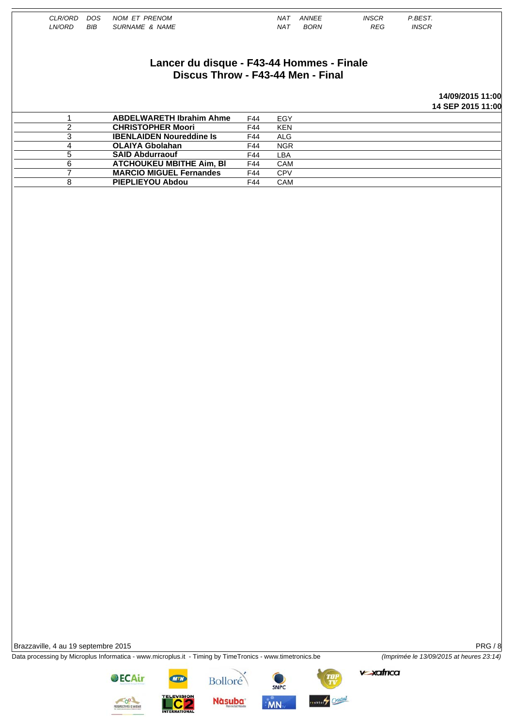| CLR/ORD | <b>DOS</b> | NOM ET PRENOM                             |     | <b>NAT</b> | <b>ANNEE</b> | <b>INSCR</b> | P.BEST.      |                   |
|---------|------------|-------------------------------------------|-----|------------|--------------|--------------|--------------|-------------------|
| LN/ORD  | BIB        | <b>SURNAME &amp; NAME</b>                 |     | <b>NAT</b> | <b>BORN</b>  | <b>REG</b>   | <b>INSCR</b> |                   |
|         |            |                                           |     |            |              |              |              |                   |
|         |            |                                           |     |            |              |              |              |                   |
|         |            |                                           |     |            |              |              |              |                   |
|         |            | Lancer du disque - F43-44 Hommes - Finale |     |            |              |              |              |                   |
|         |            |                                           |     |            |              |              |              |                   |
|         |            | Discus Throw - F43-44 Men - Final         |     |            |              |              |              |                   |
|         |            |                                           |     |            |              |              |              |                   |
|         |            |                                           |     |            |              |              |              | 14/09/2015 11:00  |
|         |            |                                           |     |            |              |              |              | 14 SEP 2015 11:00 |
|         |            | <b>ABDELWARETH Ibrahim Ahme</b>           | F44 | EGY        |              |              |              |                   |
| 2       |            | <b>CHRISTOPHER Moori</b>                  | F44 | <b>KEN</b> |              |              |              |                   |
| 3       |            | <b>IBENLAIDEN Noureddine Is</b>           | F44 | <b>ALG</b> |              |              |              |                   |
| 4       |            | <b>OLAIYA Gbolahan</b>                    | F44 | <b>NGR</b> |              |              |              |                   |
| 5       |            | <b>SAID Abdurraouf</b>                    | F44 | LBA        |              |              |              |                   |
| 6       |            | <b>ATCHOUKEU MBITHE Aim. BI</b>           | F44 | <b>CAM</b> |              |              |              |                   |
| 7       |            | <b>MARCIO MIGUEL Fernandes</b>            | F44 | <b>CPV</b> |              |              |              |                   |
| 8       |            | <b>PIEPLIEYOU Abdou</b>                   | F44 | CAM        |              |              |              |                   |

Data processing by Microplus Informatica - www.microplus.it - Timing by TimeTronics - www.timetronics.be *(Imprimée le 13/09/2015 at heures 23:14)* 

**v**-xafrica

**OECAir** 



**Bolloré Nàsuba** 







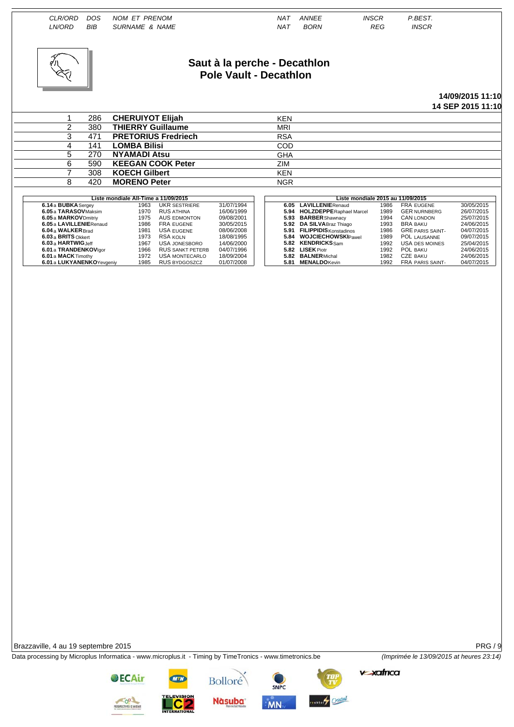NOM FT PRENOM **INSCR** CLR/ORD  $DOS$  $NAT$ ANNEE **P REST** LN/ORD SURNAME & NAME **REG INSCR BIB**  $NAT$ **BORN** Saut à la perche - Decathlon Pole Vault - Decathlon 14/09/2015 11:10 14 SEP 2015 11:10  $\mathbf{1}$ 286 **CHERUIYOT Elijah KEN**  $\overline{2}$  $380$ **THIERRY Guillaume MRI**  $\overline{3}$ 471 **PRETORIUS Fredriech RSA LOMBA Bilisi** COD

31/07/1994

16/06/1999

09/08/2001

30/05/2015

08/06/2008

18/08/1995

14/06/2000

04/07/1996

18/09/2004

01/07/2008

**GHA** 

ZIM

**KEN** 

**NGR** 

6.05

5.94

 $5.93$ 

5.92

 $5.91$ 

5.84

5.82

 $5.82$ 

5.82

5.81

**LAVILLENIERenaud** 

**BARBER** Shawnacy

**KENDRICKS**Sam

**BALNER** Michal

**MENALDO**Kevin

LISEK Piotr

DA SILVABraz Thiago

FILIPPIDIS Konstadinos

**WOJCIECHOWSKIPawel** 

**HOLZDEPPERaphael Marcel** 

Liste mondiale 2015 au 11/09/2015

1986

1989

1994

1993

1986

1989

1992

1992

1982

1992

FRA EUGENE<br>GER NURNBERG

GRE PARIS SAINT-

**USA DES MOINES** 

FRA PARIS SAINT

POL LAUSANNE

CAN LONDON

BRA BAKU

POL BAKU<br>CZE BAKU

30/05/2015

26/07/2015

25/07/2015

24/06/2015

04/07/2015

09/07/2015

25/04/2015

24/06/2015

 $24/06/2015$ 

04/07/2015

Brazzaville, 4 au 19 septembre 2015

Data processing by Microplus Informatica - www.microplus.it - Timing by TimeTronics - www.timetronics.be





270

590

308

420

**NYAMADI Atsu** 

**KOECH Gilbert** 

**MORENO Peter** 

Liste mondiale All-Time a 11/09/2015

1963

1970

1975

1986

1981

1973

1967

1966

1072

 $1985$ 

**KEEGAN COOK Peter** 

**UKR SESTRIERE** 

AUS EDMONTON

**USA JONESBORO** 

**RUS SANKT PETERB** 

USA MONTECARLO

RUS BYDGOSZCZ

**RUS ATHINA** 

FRA EUGENE

USA EUGENE

**RSA KOLN** 

 $\overline{5}$ 

 $\overline{6}$ 

 $\overline{7}$ 

 $\overline{8}$ 

6.14 a BUBKA Sergey

6.04 a WALKER Brad

6.03 a BRITS Okkert

6.03 a HARTWIGJeff

6.05 a TARASOVMaksim

6.05 a MARKOV Dmitriy

6.05 a LAVILLENIERenaud

**6.01 a TRANDENKOV**<br>1907 **6.01 a TRANDENKOV**<br>1907 **6.01 a MACK** Timothy

6.01 a LUKYANENKOYevge

 $PRG / G$ (Imprimée le 13/09/2015 at heures 23:14)



**@ECAir** 

**Bolloré Nàsuba** 

SNPC

**MN** 

ektory Cristal